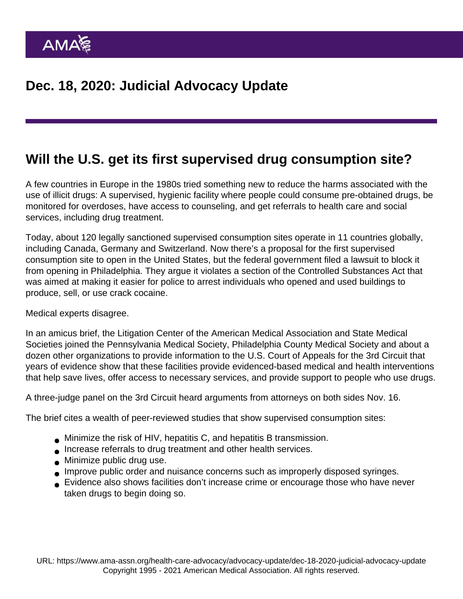## Will the U.S. get its first supervised drug consumption site?

A few countries in Europe in the 1980s tried something new to reduce the harms associated with the use of illicit drugs: A supervised, hygienic facility where people could consume pre-obtained drugs, be monitored for overdoses, have access to counseling, and get referrals to health care and social services, including drug treatment.

Today, about 120 legally sanctioned supervised consumption sites operate in 11 countries globally, including Canada, Germany and Switzerland. Now there's a proposal for the first supervised consumption site to open in the United States, but the federal government filed a lawsuit to block it from opening in Philadelphia. They argue it violates a section of the Controlled Substances Act that was aimed at making it easier for police to arrest individuals who opened and used buildings to produce, sell, or use crack cocaine.

## Medical experts disagree.

In an amicus brief, the Litigation Center of the American Medical Association and State Medical Societies joined the Pennsylvania Medical Society, Philadelphia County Medical Society and about a dozen other organizations to provide information to the U.S. Court of Appeals for the 3rd Circuit that years of evidence show that these facilities provide evidenced-based medical and health interventions that help save lives, offer access to necessary services, and provide support to people who use drugs.

A three-judge panel on the 3rd Circuit heard arguments from attorneys on both sides Nov. 16.

The brief cites a wealth of peer-reviewed studies that show supervised consumption sites:

- Minimize the risk of HIV, hepatitis C, and hepatitis B transmission.
- Increase referrals to drug treatment and other health services.
- **Minimize public drug use.**
- Improve public order and nuisance concerns such as improperly disposed syringes.
- Evidence also shows facilities don't increase crime or encourage those who have never taken drugs to begin doing so.